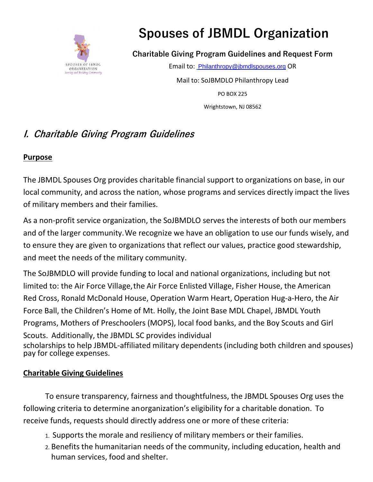

# **Spouses of JBMDL Organization**

**Charitable Giving Program Guidelines and Request Form**

Email to: [Philanthropy@jbmdlspouses.org](mailto:mdlscwelfare@gmail.com) [O](mailto:mdlscwelfare@gmail.com)R Mail to: SoJBMDLO Philanthropy Lead PO BOX 225 Wrightstown, NJ 08562

## **I. Charitable Giving Program Guidelines**

#### **Purpose**

The JBMDL Spouses Org provides charitable financial support to organizations on base, in our local community, and across the nation, whose programs and services directly impact the lives of military members and their families.

As a non-profit service organization, the SoJBMDLO serves the interests of both our members and of the larger community.We recognize we have an obligation to use our funds wisely, and to ensure they are given to organizations that reflect our values, practice good stewardship, and meet the needs of the military community.

The SoJBMDLO will provide funding to local and national organizations, including but not limited to: the Air Force Village,the Air Force Enlisted Village, Fisher House, the American Red Cross, Ronald McDonald House, Operation Warm Heart, Operation Hug-a-Hero, the Air Force Ball, the Children's Home of Mt. Holly, the Joint Base MDL Chapel, JBMDL Youth Programs, Mothers of Preschoolers (MOPS), local food banks, and the Boy Scouts and Girl Scouts. Additionally, the JBMDL SC provides individual scholarships to help JBMDL-affiliated military dependents (including both children and spouses) pay for college expenses.

#### **Charitable Giving Guidelines**

To ensure transparency, fairness and thoughtfulness, the JBMDL Spouses Org uses the following criteria to determine anorganization's eligibility for a charitable donation. To receive funds, requests should directly address one or more of these criteria:

- 1. Supports the morale and resiliency of military members or their families.
- 2. Benefits the humanitarian needs of the community, including education, health and human services, food and shelter.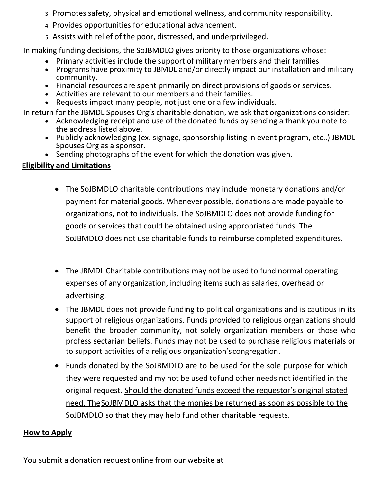- 3. Promotes safety, physical and emotional wellness, and community responsibility.
- 4. Provides opportunities for educational advancement.
- 5. Assists with relief of the poor, distressed, and underprivileged.

In making funding decisions, the SoJBMDLO gives priority to those organizations whose:

- Primary activities include the support of military members and their families
- Programs have proximity to JBMDL and/or directly impact our installation and military community.
- Financial resources are spent primarily on direct provisions of goods or services.
- Activities are relevant to our members and their families.
- Requests impact many people, not just one or a few individuals.

In return for the JBMDL Spouses Org's charitable donation, we ask that organizations consider:

- Acknowledging receipt and use of the donated funds by sending a thank you note to the address listed above.
- Publicly acknowledging (ex. signage, sponsorship listing in event program, etc..) JBMDL Spouses Org as a sponsor.
- Sending photographs of the event for which the donation was given.

#### **Eligibility and Limitations**

- The SoJBMDLO charitable contributions may include monetary donations and/or payment for material goods. Wheneverpossible, donations are made payable to organizations, not to individuals. The SoJBMDLO does not provide funding for goods or services that could be obtained using appropriated funds. The SoJBMDLO does not use charitable funds to reimburse completed expenditures.
- The JBMDL Charitable contributions may not be used to fund normal operating expenses of any organization, including items such as salaries, overhead or advertising.
- The JBMDL does not provide funding to political organizations and is cautious in its support of religious organizations. Funds provided to religious organizations should benefit the broader community, not solely organization members or those who profess sectarian beliefs. Funds may not be used to purchase religious materials or to support activities of a religious organization'scongregation.
- Funds donated by the SoJBMDLO are to be used for the sole purpose for which they were requested and my not be used tofund other needs not identified in the original request. Should the donated funds exceed the requestor's original stated need, TheSoJBMDLO asks that the monies be returned as soon as possible to the SoJBMDLO so that they may help fund other charitable requests.

#### **How to Apply**

You submit a donation request online from our website at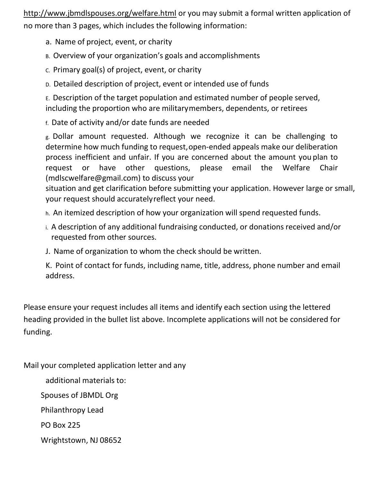[http://www.jbmdlspouses.org/welfare.html](http://www.jbmdlspouses.org/Charitable_Donations.html) or you may submit a formal written application of no more than 3 pages, which includes the following information:

- a. Name of project, event, or charity
- B. Overview of your organization's goals and accomplishments
- C. Primary goal(s) of project, event, or charity
- D. Detailed description of project, event or intended use of funds

E. Description of the target population and estimated number of people served, including the proportion who are militarymembers, dependents, or retirees

f. Date of activity and/or date funds are needed

g. Dollar amount requested. Although we recognize it can be challenging to determine how much funding to request,open-ended appeals make our deliberation process inefficient and unfair. If you are concerned about the amount you plan to request or have other questions, please email the Welfare Chair (mdlscwelfare@gmail.com) to discuss your

situation and get clarification before submitting your application. However large or small, your request should accuratelyreflect your need.

- h. An itemized description of how your organization will spend requested funds.
- i. A description of any additional fundraising conducted, or donations received and/or requested from other sources.
- J. Name of organization to whom the check should be written.

K. Point of contact for funds, including name, title, address, phone number and email address.

Please ensure your request includes all items and identify each section using the lettered heading provided in the bullet list above. Incomplete applications will not be considered for funding.

Mail your completed application letter and any

additional materials to: Spouses of JBMDL Org Philanthropy Lead PO Box 225

Wrightstown, NJ 08652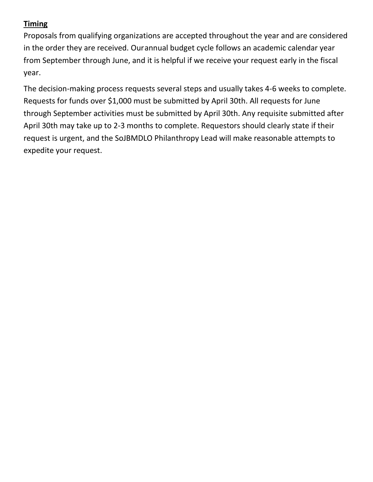#### **Timing**

Proposals from qualifying organizations are accepted throughout the year and are considered in the order they are received. Ourannual budget cycle follows an academic calendar year from September through June, and it is helpful if we receive your request early in the fiscal year.

The decision-making process requests several steps and usually takes 4-6 weeks to complete. Requests for funds over \$1,000 must be submitted by April 30th. All requests for June through September activities must be submitted by April 30th. Any requisite submitted after April 30th may take up to 2-3 months to complete. Requestors should clearly state if their request is urgent, and the SoJBMDLO Philanthropy Lead will make reasonable attempts to expedite your request.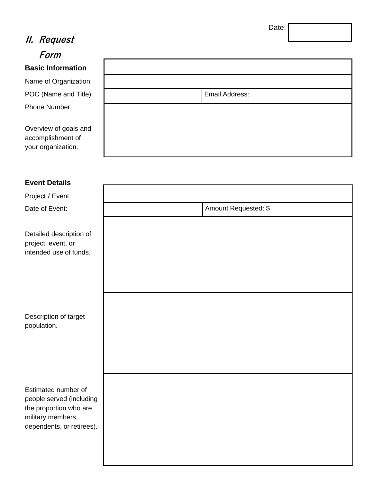## **II. Request**

**Form**

## **Basic Informatio**

Name of Organizati POC (Name and Ti Phone Number:

Overview of goals accomplishment of your organization.

| Email Address: |  |
|----------------|--|
|                |  |
|                |  |
|                |  |
|                |  |
|                |  |

#### **Event Details**

Project / Event:

Date of Event:

Detailed description of project, event, or intended use of funds.

Description of target population.

Estimated number of people served (including the proportion who are military members, dependents, or retirees).

|     | Amount Requested: \$ |  |  |  |  |  |
|-----|----------------------|--|--|--|--|--|
|     |                      |  |  |  |  |  |
|     |                      |  |  |  |  |  |
|     |                      |  |  |  |  |  |
|     |                      |  |  |  |  |  |
|     |                      |  |  |  |  |  |
|     |                      |  |  |  |  |  |
|     |                      |  |  |  |  |  |
|     |                      |  |  |  |  |  |
|     |                      |  |  |  |  |  |
|     |                      |  |  |  |  |  |
|     |                      |  |  |  |  |  |
|     |                      |  |  |  |  |  |
| ıg  |                      |  |  |  |  |  |
|     |                      |  |  |  |  |  |
| ;). |                      |  |  |  |  |  |
|     |                      |  |  |  |  |  |
|     |                      |  |  |  |  |  |
|     |                      |  |  |  |  |  |

Date: